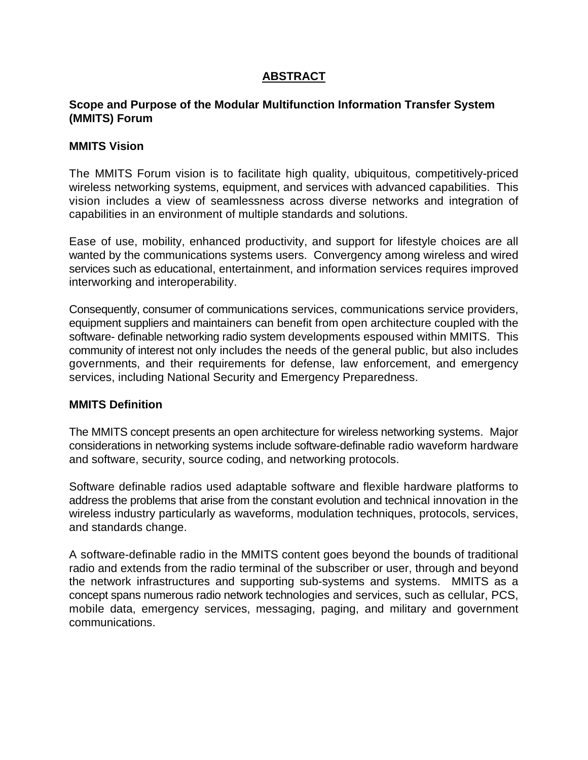# **ABSTRACT**

# **Scope and Purpose of the Modular Multifunction Information Transfer System (MMITS) Forum**

## **MMITS Vision**

The MMITS Forum vision is to facilitate high quality, ubiquitous, competitively-priced wireless networking systems, equipment, and services with advanced capabilities. This vision includes a view of seamlessness across diverse networks and integration of capabilities in an environment of multiple standards and solutions.

Ease of use, mobility, enhanced productivity, and support for lifestyle choices are all wanted by the communications systems users. Convergency among wireless and wired services such as educational, entertainment, and information services requires improved interworking and interoperability.

Consequently, consumer of communications services, communications service providers, equipment suppliers and maintainers can benefit from open architecture coupled with the software- definable networking radio system developments espoused within MMITS. This community of interest not only includes the needs of the general public, but also includes governments, and their requirements for defense, law enforcement, and emergency services, including National Security and Emergency Preparedness.

#### **MMITS Definition**

The MMITS concept presents an open architecture for wireless networking systems. Major considerations in networking systems include software-definable radio waveform hardware and software, security, source coding, and networking protocols.

Software definable radios used adaptable software and flexible hardware platforms to address the problems that arise from the constant evolution and technical innovation in the wireless industry particularly as waveforms, modulation techniques, protocols, services, and standards change.

A software-definable radio in the MMITS content goes beyond the bounds of traditional radio and extends from the radio terminal of the subscriber or user, through and beyond the network infrastructures and supporting sub-systems and systems. MMITS as a concept spans numerous radio network technologies and services, such as cellular, PCS, mobile data, emergency services, messaging, paging, and military and government communications.